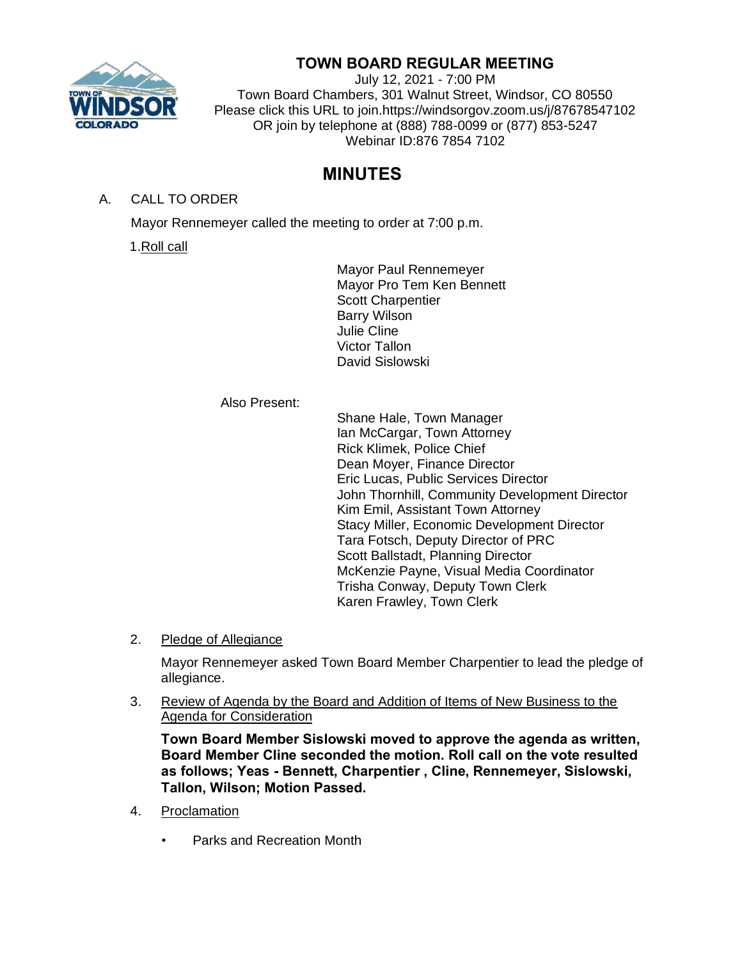

## **TOWN BOARD REGULAR MEETING**

July 12, 2021 - 7:00 PM Town Board Chambers, 301 Walnut Street, Windsor, CO 80550 Please click this URL to join.https://windsorgov.zoom.us/j/87678547102 OR join by telephone at (888) 788-0099 or (877) 853-5247 Webinar ID:876 7854 7102

# **MINUTES**

A. CALL TO ORDER

Mayor Rennemeyer called the meeting to order at 7:00 p.m.

1.Roll call

Mayor Paul Rennemeyer Mayor Pro Tem Ken Bennett Scott Charpentier Barry Wilson Julie Cline Victor Tallon David Sislowski

#### Also Present:

Shane Hale, Town Manager Ian McCargar, Town Attorney Rick Klimek, Police Chief Dean Moyer, Finance Director Eric Lucas, Public Services Director John Thornhill, Community Development Director Kim Emil, Assistant Town Attorney Stacy Miller, Economic Development Director Tara Fotsch, Deputy Director of PRC Scott Ballstadt, Planning Director McKenzie Payne, Visual Media Coordinator Trisha Conway, Deputy Town Clerk Karen Frawley, Town Clerk

2. Pledge of Allegiance

Mayor Rennemeyer asked Town Board Member Charpentier to lead the pledge of allegiance.

3. Review of Agenda by the Board and Addition of Items of New Business to the Agenda for Consideration

**Town Board Member Sislowski moved to approve the agenda as written, Board Member Cline seconded the motion. Roll call on the vote resulted as follows; Yeas - Bennett, Charpentier , Cline, Rennemeyer, Sislowski, Tallon, Wilson; Motion Passed.**

- 4. Proclamation
	- Parks and Recreation Month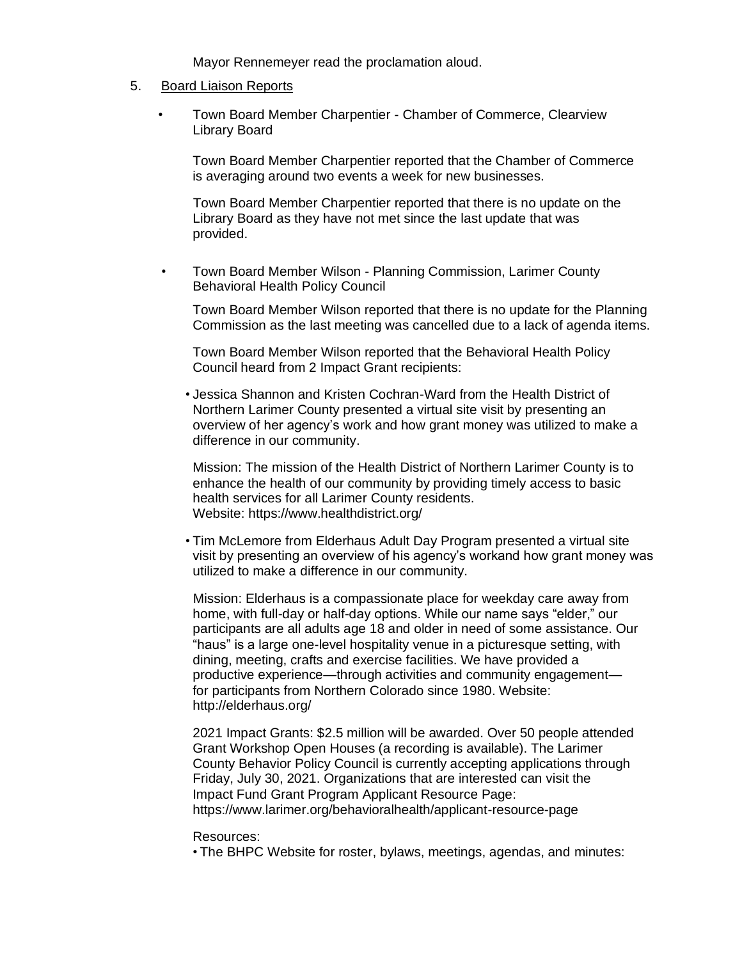Mayor Rennemeyer read the proclamation aloud.

#### 5. Board Liaison Reports

• Town Board Member Charpentier - Chamber of Commerce, Clearview Library Board

Town Board Member Charpentier reported that the Chamber of Commerce is averaging around two events a week for new businesses.

Town Board Member Charpentier reported that there is no update on the Library Board as they have not met since the last update that was provided.

• Town Board Member Wilson - Planning Commission, Larimer County Behavioral Health Policy Council

Town Board Member Wilson reported that there is no update for the Planning Commission as the last meeting was cancelled due to a lack of agenda items.

Town Board Member Wilson reported that the Behavioral Health Policy Council heard from 2 Impact Grant recipients:

• Jessica Shannon and Kristen Cochran-Ward from the Health District of Northern Larimer County presented a virtual site visit by presenting an overview of her agency's work and how grant money was utilized to make a difference in our community.

Mission: The mission of the Health District of Northern Larimer County is to enhance the health of our community by providing timely access to basic health services for all Larimer County residents. Website: https://www.healthdistrict.org/

• Tim McLemore from Elderhaus Adult Day Program presented a virtual site visit by presenting an overview of his agency's workand how grant money was utilized to make a difference in our community.

Mission: Elderhaus is a compassionate place for weekday care away from home, with full-day or half-day options. While our name says "elder," our participants are all adults age 18 and older in need of some assistance. Our "haus" is a large one-level hospitality venue in a picturesque setting, with dining, meeting, crafts and exercise facilities. We have provided a productive experience—through activities and community engagement for participants from Northern Colorado since 1980. Website: http://elderhaus.org/

2021 Impact Grants: \$2.5 million will be awarded. Over 50 people attended Grant Workshop Open Houses (a recording is available). The Larimer County Behavior Policy Council is currently accepting applications through Friday, July 30, 2021. Organizations that are interested can visit the Impact Fund Grant Program Applicant Resource Page: https://www.larimer.org/behavioralhealth/applicant-resource-page

#### Resources:

• The BHPC Website for roster, bylaws, meetings, agendas, and minutes: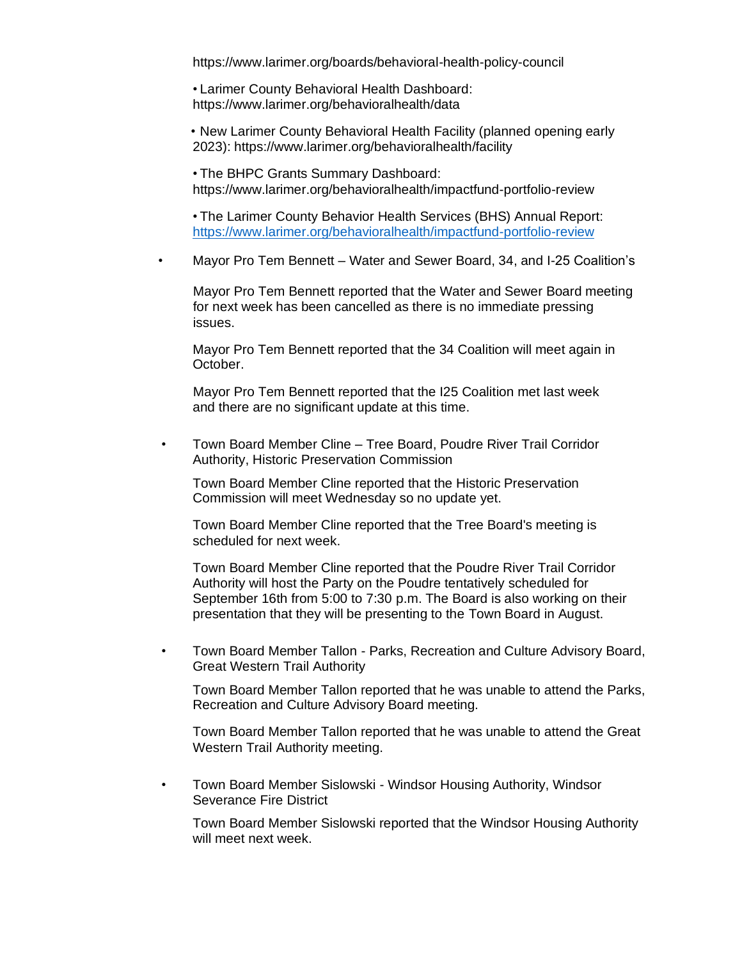https://www.larimer.org/boards/behavioral-health-policy-council

• Larimer County Behavioral Health Dashboard: https://www.larimer.org/behavioralhealth/data

• New Larimer County Behavioral Health Facility (planned opening early 2023): https://www.larimer.org/behavioralhealth/facility

• The BHPC Grants Summary Dashboard: https://www.larimer.org/behavioralhealth/impactfund-portfolio-review

• The Larimer County Behavior Health Services (BHS) Annual Report: <https://www.larimer.org/behavioralhealth/impactfund-portfolio-review>

• Mayor Pro Tem Bennett – Water and Sewer Board, 34, and I-25 Coalition's

Mayor Pro Tem Bennett reported that the Water and Sewer Board meeting for next week has been cancelled as there is no immediate pressing issues.

Mayor Pro Tem Bennett reported that the 34 Coalition will meet again in October.

Mayor Pro Tem Bennett reported that the I25 Coalition met last week and there are no significant update at this time.

• Town Board Member Cline – Tree Board, Poudre River Trail Corridor Authority, Historic Preservation Commission

Town Board Member Cline reported that the Historic Preservation Commission will meet Wednesday so no update yet.

Town Board Member Cline reported that the Tree Board's meeting is scheduled for next week.

Town Board Member Cline reported that the Poudre River Trail Corridor Authority will host the Party on the Poudre tentatively scheduled for September 16th from 5:00 to 7:30 p.m. The Board is also working on their presentation that they will be presenting to the Town Board in August.

• Town Board Member Tallon - Parks, Recreation and Culture Advisory Board, Great Western Trail Authority

Town Board Member Tallon reported that he was unable to attend the Parks, Recreation and Culture Advisory Board meeting.

Town Board Member Tallon reported that he was unable to attend the Great Western Trail Authority meeting.

• Town Board Member Sislowski - Windsor Housing Authority, Windsor Severance Fire District

Town Board Member Sislowski reported that the Windsor Housing Authority will meet next week.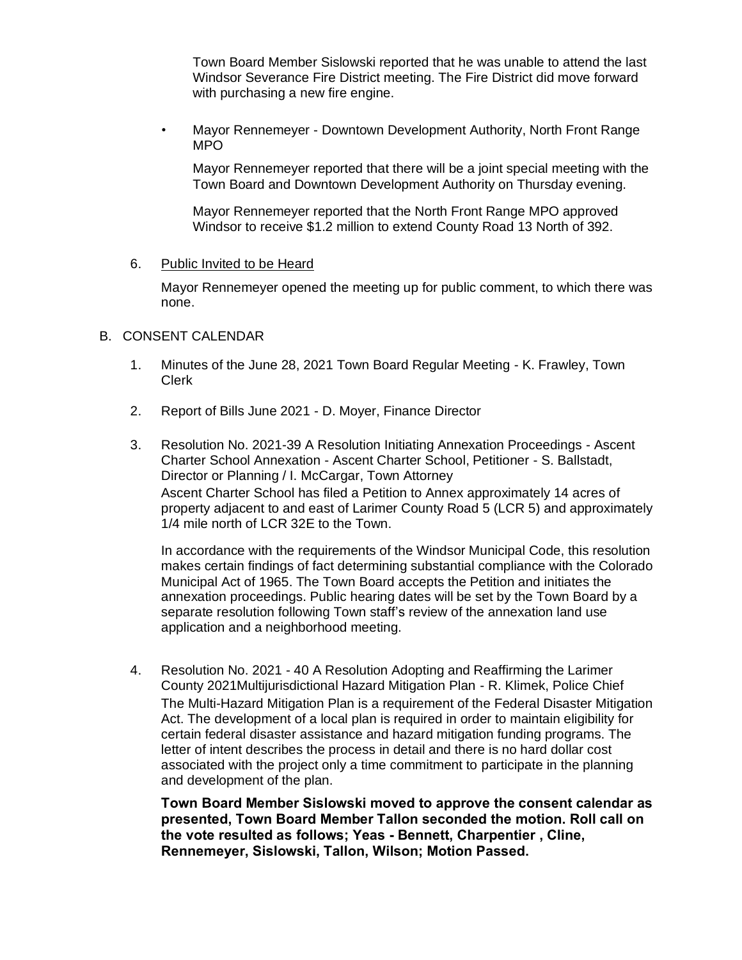Town Board Member Sislowski reported that he was unable to attend the last Windsor Severance Fire District meeting. The Fire District did move forward with purchasing a new fire engine.

• Mayor Rennemeyer - Downtown Development Authority, North Front Range MPO

Mayor Rennemeyer reported that there will be a joint special meeting with the Town Board and Downtown Development Authority on Thursday evening.

Mayor Rennemeyer reported that the North Front Range MPO approved Windsor to receive \$1.2 million to extend County Road 13 North of 392.

6. Public Invited to be Heard

Mayor Rennemeyer opened the meeting up for public comment, to which there was none.

#### B. CONSENT CALENDAR

- 1. Minutes of the June 28, 2021 Town Board Regular Meeting K. Frawley, Town Clerk
- 2. Report of Bills June 2021 D. Moyer, Finance Director
- 3. Resolution No. 2021-39 A Resolution Initiating Annexation Proceedings Ascent Charter School Annexation - Ascent Charter School, Petitioner - S. Ballstadt, Director or Planning / I. McCargar, Town Attorney Ascent Charter School has filed a Petition to Annex approximately 14 acres of property adjacent to and east of Larimer County Road 5 (LCR 5) and approximately 1/4 mile north of LCR 32E to the Town.

In accordance with the requirements of the Windsor Municipal Code, this resolution makes certain findings of fact determining substantial compliance with the Colorado Municipal Act of 1965. The Town Board accepts the Petition and initiates the annexation proceedings. Public hearing dates will be set by the Town Board by a separate resolution following Town staff's review of the annexation land use application and a neighborhood meeting.

4. Resolution No. 2021 - 40 A Resolution Adopting and Reaffirming the Larimer County 2021Multijurisdictional Hazard Mitigation Plan - R. Klimek, Police Chief The Multi-Hazard Mitigation Plan is a requirement of the Federal Disaster Mitigation Act. The development of a local plan is required in order to maintain eligibility for certain federal disaster assistance and hazard mitigation funding programs. The letter of intent describes the process in detail and there is no hard dollar cost associated with the project only a time commitment to participate in the planning and development of the plan.

**Town Board Member Sislowski moved to approve the consent calendar as presented, Town Board Member Tallon seconded the motion. Roll call on the vote resulted as follows; Yeas - Bennett, Charpentier , Cline, Rennemeyer, Sislowski, Tallon, Wilson; Motion Passed.**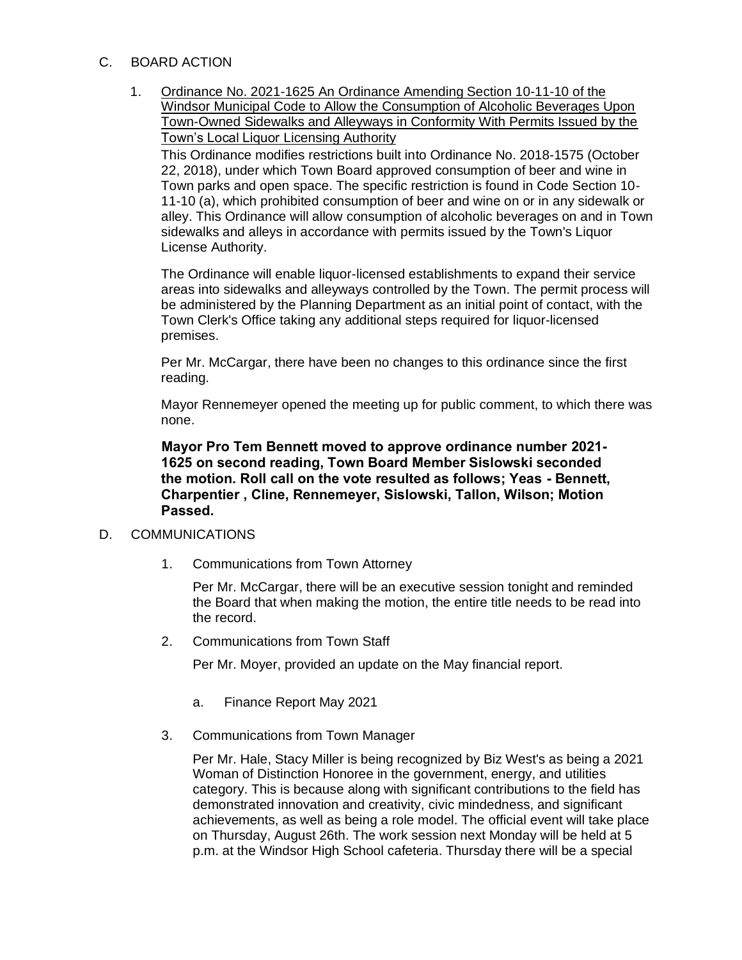## C. BOARD ACTION

1. Ordinance No. 2021-1625 An Ordinance Amending Section 10-11-10 of the Windsor Municipal Code to Allow the Consumption of Alcoholic Beverages Upon Town-Owned Sidewalks and Alleyways in Conformity With Permits Issued by the Town's Local Liquor Licensing Authority This Ordinance modifies restrictions built into Ordinance No. 2018-1575 (October

22, 2018), under which Town Board approved consumption of beer and wine in Town parks and open space. The specific restriction is found in Code Section 10- 11-10 (a), which prohibited consumption of beer and wine on or in any sidewalk or alley. This Ordinance will allow consumption of alcoholic beverages on and in Town sidewalks and alleys in accordance with permits issued by the Town's Liquor License Authority.

The Ordinance will enable liquor-licensed establishments to expand their service areas into sidewalks and alleyways controlled by the Town. The permit process will be administered by the Planning Department as an initial point of contact, with the Town Clerk's Office taking any additional steps required for liquor-licensed premises.

Per Mr. McCargar, there have been no changes to this ordinance since the first reading.

Mayor Rennemeyer opened the meeting up for public comment, to which there was none.

**Mayor Pro Tem Bennett moved to approve ordinance number 2021- 1625 on second reading, Town Board Member Sislowski seconded the motion. Roll call on the vote resulted as follows; Yeas - Bennett, Charpentier , Cline, Rennemeyer, Sislowski, Tallon, Wilson; Motion Passed.**

#### D. COMMUNICATIONS

1. Communications from Town Attorney

Per Mr. McCargar, there will be an executive session tonight and reminded the Board that when making the motion, the entire title needs to be read into the record.

2. Communications from Town Staff

Per Mr. Moyer, provided an update on the May financial report.

- a. Finance Report May 2021
- 3. Communications from Town Manager

Per Mr. Hale, Stacy Miller is being recognized by Biz West's as being a 2021 Woman of Distinction Honoree in the government, energy, and utilities category. This is because along with significant contributions to the field has demonstrated innovation and creativity, civic mindedness, and significant achievements, as well as being a role model. The official event will take place on Thursday, August 26th. The work session next Monday will be held at 5 p.m. at the Windsor High School cafeteria. Thursday there will be a special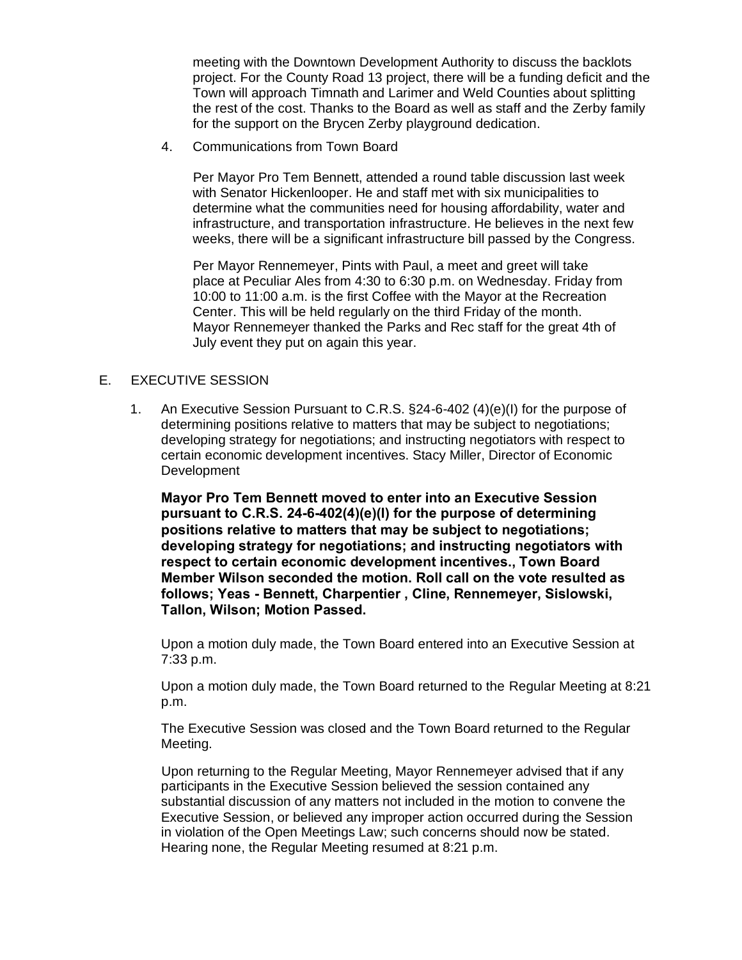meeting with the Downtown Development Authority to discuss the backlots project. For the County Road 13 project, there will be a funding deficit and the Town will approach Timnath and Larimer and Weld Counties about splitting the rest of the cost. Thanks to the Board as well as staff and the Zerby family for the support on the Brycen Zerby playground dedication.

4. Communications from Town Board

Per Mayor Pro Tem Bennett, attended a round table discussion last week with Senator Hickenlooper. He and staff met with six municipalities to determine what the communities need for housing affordability, water and infrastructure, and transportation infrastructure. He believes in the next few weeks, there will be a significant infrastructure bill passed by the Congress.

Per Mayor Rennemeyer, Pints with Paul, a meet and greet will take place at Peculiar Ales from 4:30 to 6:30 p.m. on Wednesday. Friday from 10:00 to 11:00 a.m. is the first Coffee with the Mayor at the Recreation Center. This will be held regularly on the third Friday of the month. Mayor Rennemeyer thanked the Parks and Rec staff for the great 4th of July event they put on again this year.

## E. EXECUTIVE SESSION

1. An Executive Session Pursuant to C.R.S. §24-6-402 (4)(e)(I) for the purpose of determining positions relative to matters that may be subject to negotiations; developing strategy for negotiations; and instructing negotiators with respect to certain economic development incentives. Stacy Miller, Director of Economic Development

**Mayor Pro Tem Bennett moved to enter into an Executive Session pursuant to C.R.S. 24-6-402(4)(e)(I) for the purpose of determining positions relative to matters that may be subject to negotiations; developing strategy for negotiations; and instructing negotiators with respect to certain economic development incentives., Town Board Member Wilson seconded the motion. Roll call on the vote resulted as follows; Yeas - Bennett, Charpentier , Cline, Rennemeyer, Sislowski, Tallon, Wilson; Motion Passed.**

Upon a motion duly made, the Town Board entered into an Executive Session at 7:33 p.m.

Upon a motion duly made, the Town Board returned to the Regular Meeting at 8:21 p.m.

The Executive Session was closed and the Town Board returned to the Regular Meeting.

Upon returning to the Regular Meeting, Mayor Rennemeyer advised that if any participants in the Executive Session believed the session contained any substantial discussion of any matters not included in the motion to convene the Executive Session, or believed any improper action occurred during the Session in violation of the Open Meetings Law; such concerns should now be stated. Hearing none, the Regular Meeting resumed at 8:21 p.m.